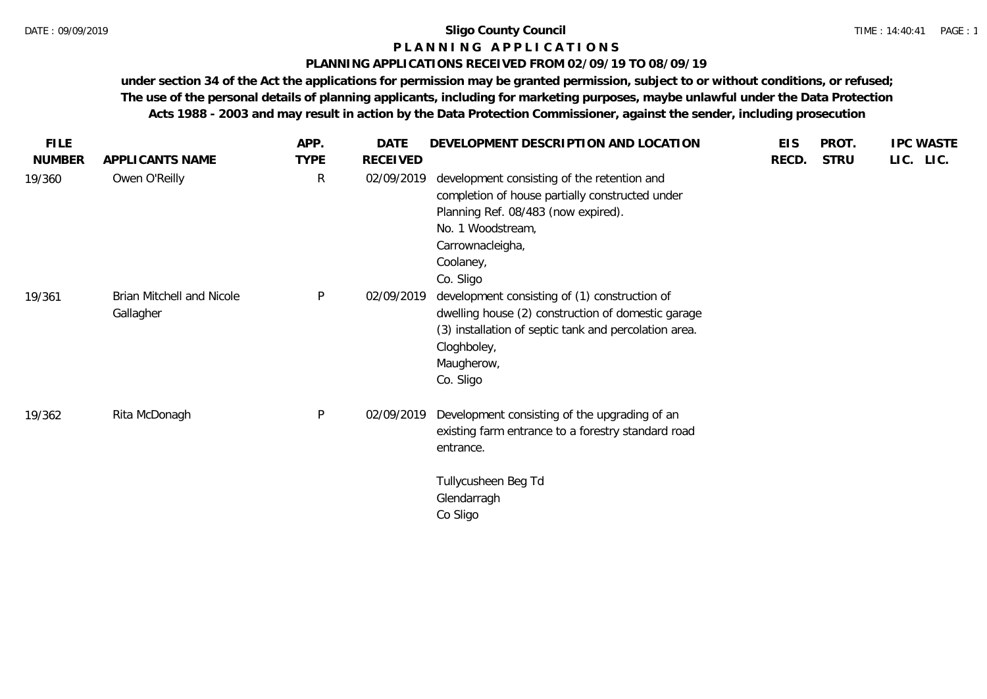## **P L A N N I N G A P P L I C A T I O N S**

#### **PLANNING APPLICATIONS RECEIVED FROM 02/09/19 TO 08/09/19**

**under section 34 of the Act the applications for permission may be granted permission, subject to or without conditions, or refused; The use of the personal details of planning applicants, including for marketing purposes, maybe unlawful under the Data Protection Acts 1988 - 2003 and may result in action by the Data Protection Commissioner, against the sender, including prosecution**

| <b>FILE</b>   |                                        | APP.         | <b>DATE</b>     | DEVELOPMENT DESCRIPTION AND LOCATION                                                                                                                                                                     | <b>EIS</b> | PROT.       | <b>IPC WASTE</b> |
|---------------|----------------------------------------|--------------|-----------------|----------------------------------------------------------------------------------------------------------------------------------------------------------------------------------------------------------|------------|-------------|------------------|
| <b>NUMBER</b> | APPLICANTS NAME                        | <b>TYPE</b>  | <b>RECEIVED</b> |                                                                                                                                                                                                          | RECD.      | <b>STRU</b> | LIC. LIC.        |
| 19/360        | Owen O'Reilly                          | $\mathsf{R}$ | 02/09/2019      | development consisting of the retention and<br>completion of house partially constructed under<br>Planning Ref. 08/483 (now expired).<br>No. 1 Woodstream,<br>Carrownacleigha,<br>Coolaney,<br>Co. Sligo |            |             |                  |
| 19/361        | Brian Mitchell and Nicole<br>Gallagher | $\sf P$      | 02/09/2019      | development consisting of (1) construction of<br>dwelling house (2) construction of domestic garage<br>(3) installation of septic tank and percolation area.<br>Cloghboley,<br>Maugherow,<br>Co. Sligo   |            |             |                  |
| 19/362        | Rita McDonagh                          | P            | 02/09/2019      | Development consisting of the upgrading of an<br>existing farm entrance to a forestry standard road<br>entrance.                                                                                         |            |             |                  |
|               |                                        |              |                 | Tullycusheen Beg Td<br>Glendarragh<br>Co Sligo                                                                                                                                                           |            |             |                  |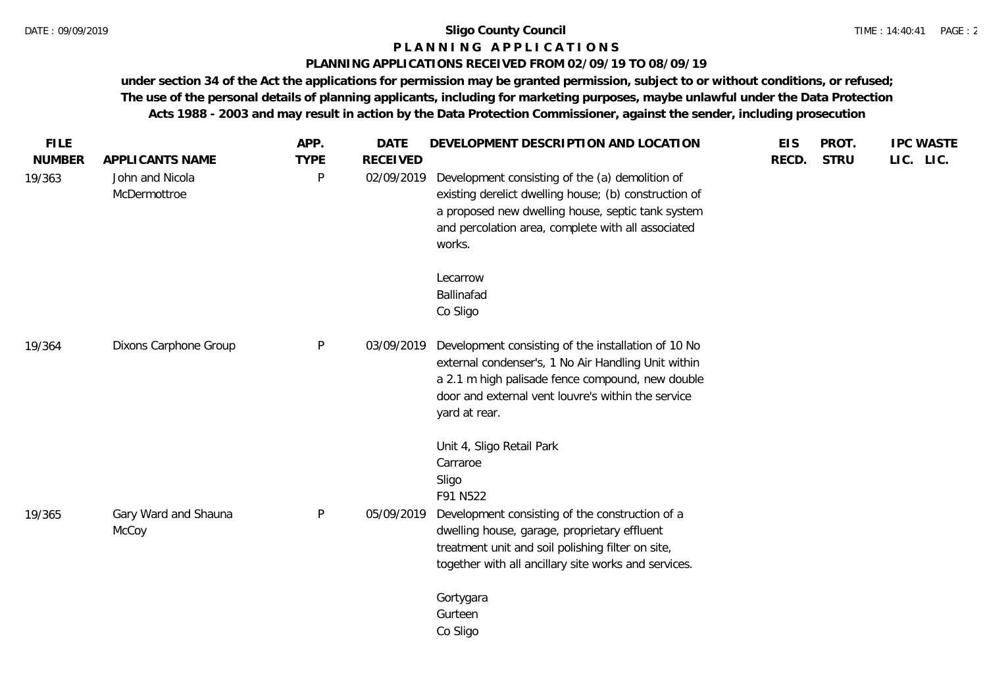#### **P L A N N I N G A P P L I C A T I O N S**

#### **PLANNING APPLICATIONS RECEIVED FROM 02/09/19 TO 08/09/19**

**under section 34 of the Act the applications for permission may be granted permission, subject to or without conditions, or refused; The use of the personal details of planning applicants, including for marketing purposes, maybe unlawful under the Data Protection Acts 1988 - 2003 and may result in action by the Data Protection Commissioner, against the sender, including prosecution**

| <b>FILE</b><br><b>NUMBER</b> | APPLICANTS NAME                 | APP.<br><b>TYPE</b> | <b>DATE</b><br><b>RECEIVED</b> | DEVELOPMENT DESCRIPTION AND LOCATION                                                                                                                                                                                                  | <b>EIS</b><br>RECD. | PROT.<br><b>STRU</b> | <b>IPC WASTE</b><br>LIC. LIC. |
|------------------------------|---------------------------------|---------------------|--------------------------------|---------------------------------------------------------------------------------------------------------------------------------------------------------------------------------------------------------------------------------------|---------------------|----------------------|-------------------------------|
| 19/363                       | John and Nicola<br>McDermottroe | P                   | 02/09/2019                     | Development consisting of the (a) demolition of<br>existing derelict dwelling house; (b) construction of<br>a proposed new dwelling house, septic tank system<br>and percolation area, complete with all associated<br>works.         |                     |                      |                               |
|                              |                                 |                     |                                | Lecarrow<br>Ballinafad<br>Co Sligo                                                                                                                                                                                                    |                     |                      |                               |
| 19/364                       | Dixons Carphone Group           | P                   | 03/09/2019                     | Development consisting of the installation of 10 No<br>external condenser's, 1 No Air Handling Unit within<br>a 2.1 m high palisade fence compound, new double<br>door and external vent louvre's within the service<br>yard at rear. |                     |                      |                               |
|                              |                                 |                     |                                | Unit 4, Sligo Retail Park<br>Carraroe<br>Sligo<br>F91 N522                                                                                                                                                                            |                     |                      |                               |
| 19/365                       | Gary Ward and Shauna<br>McCoy   | P                   | 05/09/2019                     | Development consisting of the construction of a<br>dwelling house, garage, proprietary effluent<br>treatment unit and soil polishing filter on site,<br>together with all ancillary site works and services.                          |                     |                      |                               |
|                              |                                 |                     |                                | Gortygara<br>Gurteen<br>Co Sligo                                                                                                                                                                                                      |                     |                      |                               |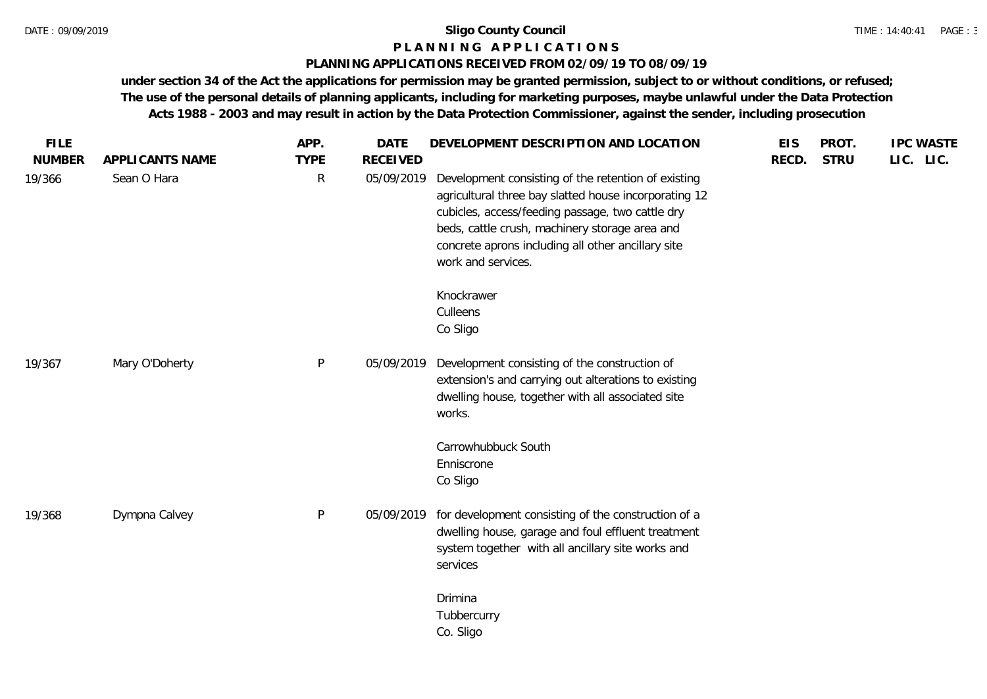#### **P L A N N I N G A P P L I C A T I O N S**

#### **PLANNING APPLICATIONS RECEIVED FROM 02/09/19 TO 08/09/19**

**under section 34 of the Act the applications for permission may be granted permission, subject to or without conditions, or refused; The use of the personal details of planning applicants, including for marketing purposes, maybe unlawful under the Data Protection Acts 1988 - 2003 and may result in action by the Data Protection Commissioner, against the sender, including prosecution**

| <b>FILE</b><br><b>NUMBER</b> | APPLICANTS NAME | APP.<br><b>TYPE</b> | <b>DATE</b><br><b>RECEIVED</b> | DEVELOPMENT DESCRIPTION AND LOCATION                                                                                                                                                                                                                                                           | <b>EIS</b><br>RECD. | PROT.<br><b>STRU</b> | <b>IPC WASTE</b><br>LIC. LIC. |
|------------------------------|-----------------|---------------------|--------------------------------|------------------------------------------------------------------------------------------------------------------------------------------------------------------------------------------------------------------------------------------------------------------------------------------------|---------------------|----------------------|-------------------------------|
| 19/366                       | Sean O Hara     | $\mathsf{R}$        | 05/09/2019                     | Development consisting of the retention of existing<br>agricultural three bay slatted house incorporating 12<br>cubicles, access/feeding passage, two cattle dry<br>beds, cattle crush, machinery storage area and<br>concrete aprons including all other ancillary site<br>work and services. |                     |                      |                               |
|                              |                 |                     |                                | Knockrawer<br>Culleens<br>Co Sligo                                                                                                                                                                                                                                                             |                     |                      |                               |
| 19/367                       | Mary O'Doherty  | P                   | 05/09/2019                     | Development consisting of the construction of<br>extension's and carrying out alterations to existing<br>dwelling house, together with all associated site<br>works.                                                                                                                           |                     |                      |                               |
|                              |                 |                     |                                | Carrowhubbuck South<br>Enniscrone<br>Co Sligo                                                                                                                                                                                                                                                  |                     |                      |                               |
| 19/368                       | Dympna Calvey   | P                   | 05/09/2019                     | for development consisting of the construction of a<br>dwelling house, garage and foul effluent treatment<br>system together with all ancillary site works and<br>services                                                                                                                     |                     |                      |                               |
|                              |                 |                     |                                | Drimina<br>Tubbercurry<br>Co. Sligo                                                                                                                                                                                                                                                            |                     |                      |                               |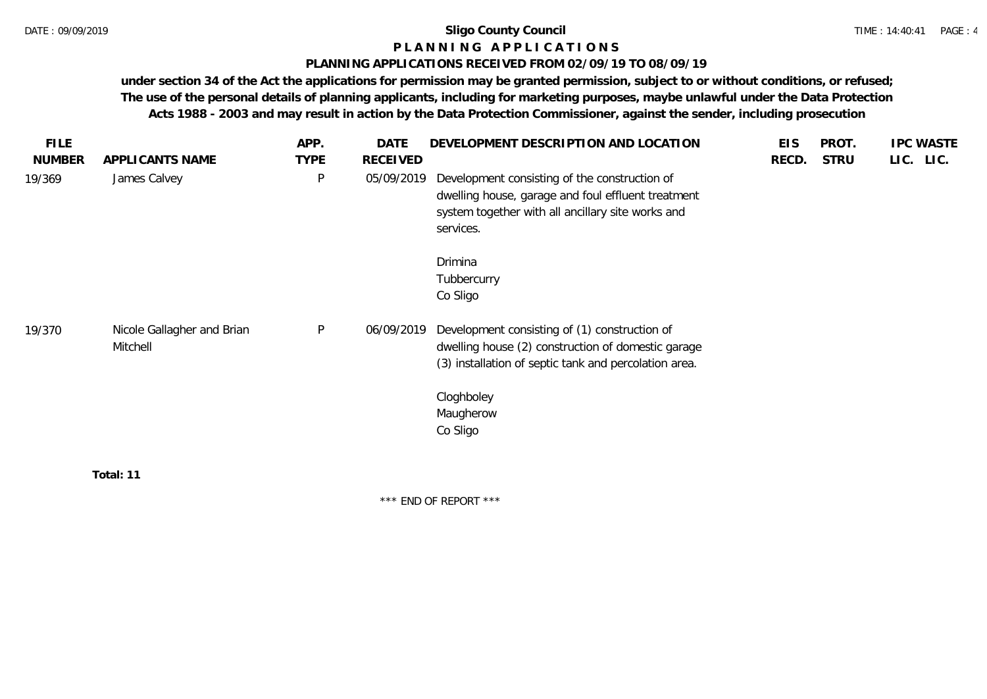#### **P L A N N I N G A P P L I C A T I O N S**

#### **PLANNING APPLICATIONS RECEIVED FROM 02/09/19 TO 08/09/19**

**under section 34 of the Act the applications for permission may be granted permission, subject to or without conditions, or refused; The use of the personal details of planning applicants, including for marketing purposes, maybe unlawful under the Data Protection Acts 1988 - 2003 and may result in action by the Data Protection Commissioner, against the sender, including prosecution**

| <b>FILE</b>   |                                        | APP.        | DATE            | DEVELOPMENT DESCRIPTION AND LOCATION                                                                                                                                                                | <b>EIS</b> | PROT.       | <b>IPC WASTE</b> |
|---------------|----------------------------------------|-------------|-----------------|-----------------------------------------------------------------------------------------------------------------------------------------------------------------------------------------------------|------------|-------------|------------------|
| <b>NUMBER</b> | APPLICANTS NAME                        | <b>TYPE</b> | <b>RECEIVED</b> |                                                                                                                                                                                                     | RECD.      | <b>STRU</b> | LIC. LIC.        |
| 19/369        | James Calvey                           | $\sf P$     | 05/09/2019      | Development consisting of the construction of<br>dwelling house, garage and foul effluent treatment<br>system together with all ancillary site works and<br>services.                               |            |             |                  |
|               |                                        |             |                 | Drimina<br>Tubbercurry<br>Co Sligo                                                                                                                                                                  |            |             |                  |
| 19/370        | Nicole Gallagher and Brian<br>Mitchell | $\sf P$     | 06/09/2019      | Development consisting of (1) construction of<br>dwelling house (2) construction of domestic garage<br>(3) installation of septic tank and percolation area.<br>Cloghboley<br>Maugherow<br>Co Sligo |            |             |                  |
|               | Total: 11                              |             |                 |                                                                                                                                                                                                     |            |             |                  |

\*\*\* END OF REPORT \*\*\*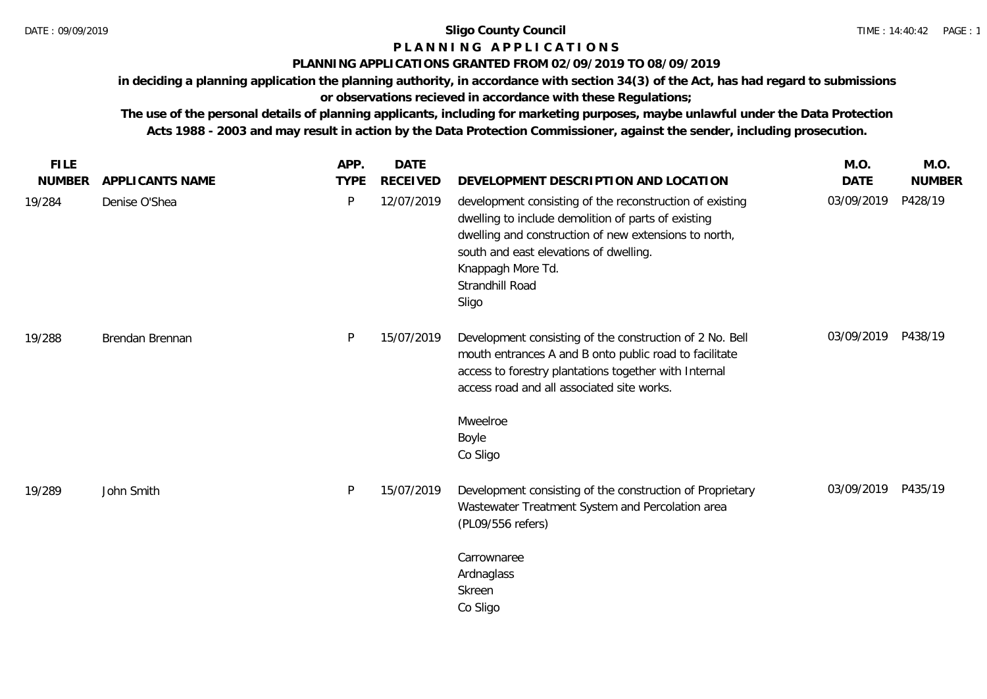# **P L A N N I N G A P P L I C A T I O N S**

## **PLANNING APPLICATIONS GRANTED FROM 02/09/2019 TO 08/09/2019**

**in deciding a planning application the planning authority, in accordance with section 34(3) of the Act, has had regard to submissions or observations recieved in accordance with these Regulations;**

**The use of the personal details of planning applicants, including for marketing purposes, maybe unlawful under the Data Protection Acts 1988 - 2003 and may result in action by the Data Protection Commissioner, against the sender, including prosecution.**

| <b>FILE</b>   |                 | APP.        | <b>DATE</b>     |                                                                                                                                                                                                                                                                     | M.O.        | M.O.          |
|---------------|-----------------|-------------|-----------------|---------------------------------------------------------------------------------------------------------------------------------------------------------------------------------------------------------------------------------------------------------------------|-------------|---------------|
| <b>NUMBER</b> | APPLICANTS NAME | <b>TYPE</b> | <b>RECEIVED</b> | DEVELOPMENT DESCRIPTION AND LOCATION                                                                                                                                                                                                                                | <b>DATE</b> | <b>NUMBER</b> |
| 19/284        | Denise O'Shea   | P           | 12/07/2019      | development consisting of the reconstruction of existing<br>dwelling to include demolition of parts of existing<br>dwelling and construction of new extensions to north,<br>south and east elevations of dwelling.<br>Knappagh More Td.<br>Strandhill Road<br>Sligo | 03/09/2019  | P428/19       |
| 19/288        | Brendan Brennan | P           | 15/07/2019      | Development consisting of the construction of 2 No. Bell<br>mouth entrances A and B onto public road to facilitate<br>access to forestry plantations together with Internal<br>access road and all associated site works.<br>Mweelroe                               | 03/09/2019  | P438/19       |
|               |                 |             |                 | Boyle<br>Co Sligo                                                                                                                                                                                                                                                   |             |               |
| 19/289        | John Smith      | P           | 15/07/2019      | Development consisting of the construction of Proprietary<br>Wastewater Treatment System and Percolation area<br>(PL09/556 refers)                                                                                                                                  | 03/09/2019  | P435/19       |
|               |                 |             |                 | Carrownaree<br>Ardnaglass<br>Skreen<br>Co Sligo                                                                                                                                                                                                                     |             |               |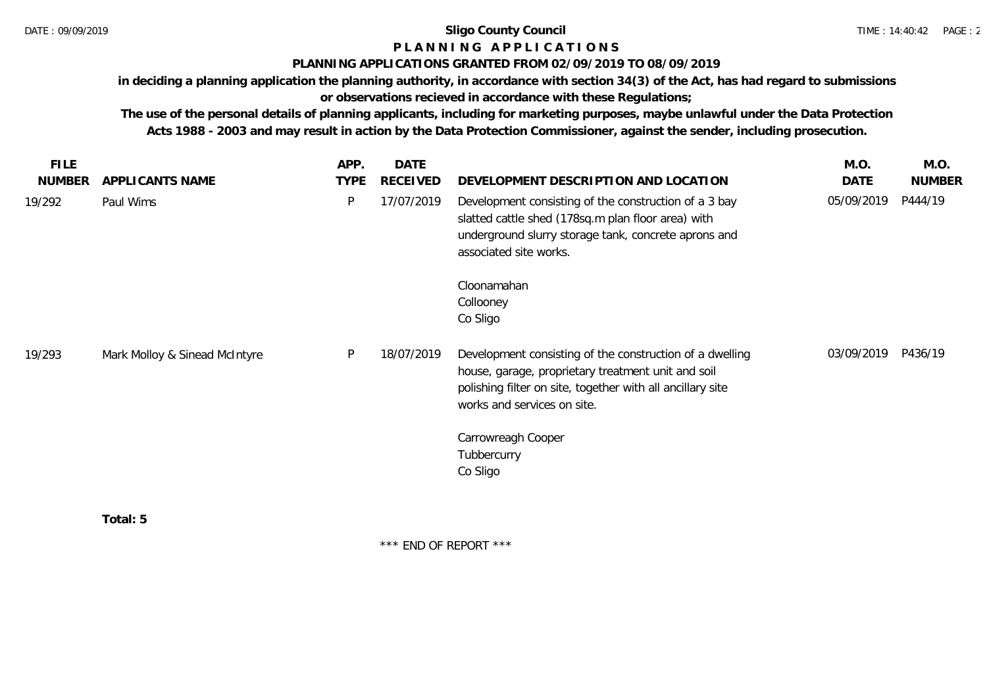# **P L A N N I N G A P P L I C A T I O N S**

### **PLANNING APPLICATIONS GRANTED FROM 02/09/2019 TO 08/09/2019**

**in deciding a planning application the planning authority, in accordance with section 34(3) of the Act, has had regard to submissions or observations recieved in accordance with these Regulations;**

**The use of the personal details of planning applicants, including for marketing purposes, maybe unlawful under the Data Protection Acts 1988 - 2003 and may result in action by the Data Protection Commissioner, against the sender, including prosecution.**

| <b>TYPE</b><br>APPLICANTS NAME<br>P | RECEIVED<br>17/07/2019        | DEVELOPMENT DESCRIPTION AND LOCATION<br>Development consisting of the construction of a 3 bay                                                                                                               | DATE<br>05/09/2019    | <b>NUMBER</b><br>P444/19 |
|-------------------------------------|-------------------------------|-------------------------------------------------------------------------------------------------------------------------------------------------------------------------------------------------------------|-----------------------|--------------------------|
|                                     |                               |                                                                                                                                                                                                             |                       |                          |
|                                     |                               | slatted cattle shed (178sq.m plan floor area) with<br>underground slurry storage tank, concrete aprons and<br>associated site works.                                                                        |                       |                          |
|                                     |                               | Cloonamahan                                                                                                                                                                                                 |                       |                          |
|                                     |                               | Co Sligo                                                                                                                                                                                                    |                       |                          |
| P                                   | 18/07/2019                    | Development consisting of the construction of a dwelling<br>house, garage, proprietary treatment unit and soil<br>polishing filter on site, together with all ancillary site<br>works and services on site. | 03/09/2019            | P436/19                  |
|                                     |                               | Carrowreagh Cooper<br>Tubbercurry                                                                                                                                                                           |                       |                          |
|                                     | Mark Molloy & Sinead McIntyre |                                                                                                                                                                                                             | Collooney<br>Co Sligo |                          |

\*\*\* END OF REPORT \*\*\*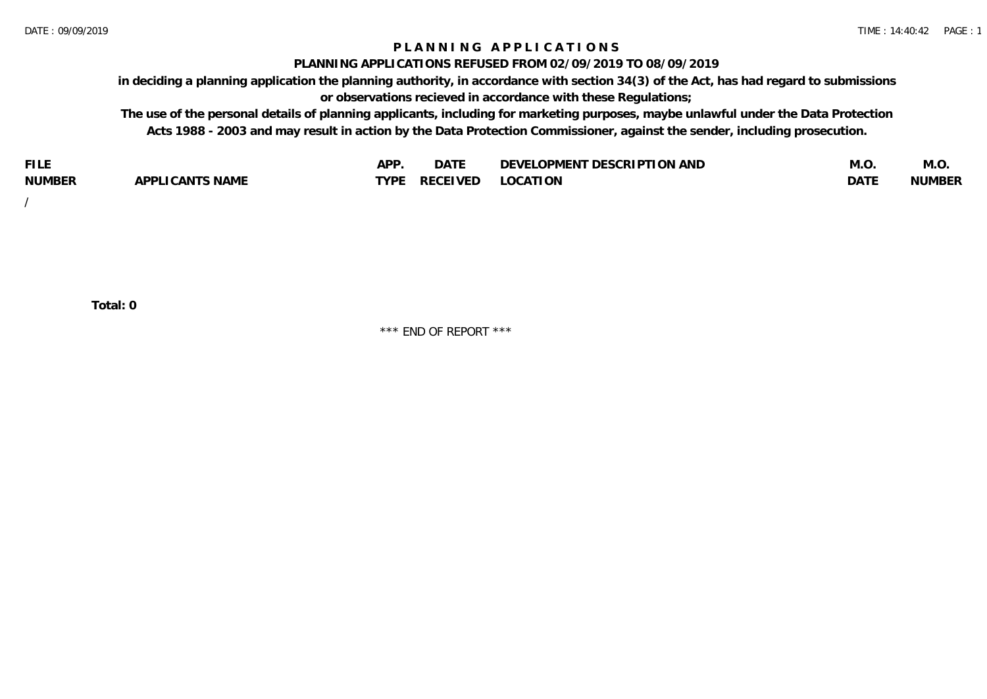### **P L A N N I N G A P P L I C A T I O N S**

#### **PLANNING APPLICATIONS REFUSED FROM 02/09/2019 TO 08/09/2019**

**in deciding a planning application the planning authority, in accordance with section 34(3) of the Act, has had regard to submissions or observations recieved in accordance with these Regulations;**

**The use of the personal details of planning applicants, including for marketing purposes, maybe unlawful under the Data Protection Acts 1988 - 2003 and may result in action by the Data Protection Commissioner, against the sender, including prosecution.**

| <b>FILE</b>   |                                                     | A DE        | $\sim$ $\sim$ $\sim$<br>DA I | <b>ENT DESCRIPTION AND</b><br>$\cap$ nn.<br>)E\/F<br>. JIEN L<br>பட | IVI.U       | IVI.U         |
|---------------|-----------------------------------------------------|-------------|------------------------------|---------------------------------------------------------------------|-------------|---------------|
| <b>NUMBER</b> | <b>ANTS NAME</b><br>A DDI<br>$\sqrt{2}$<br>CAN<br>u | <b>TVDL</b> | ◡⊢                           | <b>OCATION</b>                                                      | <b>DATF</b> | <b>NUMBER</b> |

/

**Total: 0**

\*\*\* END OF REPORT \*\*\*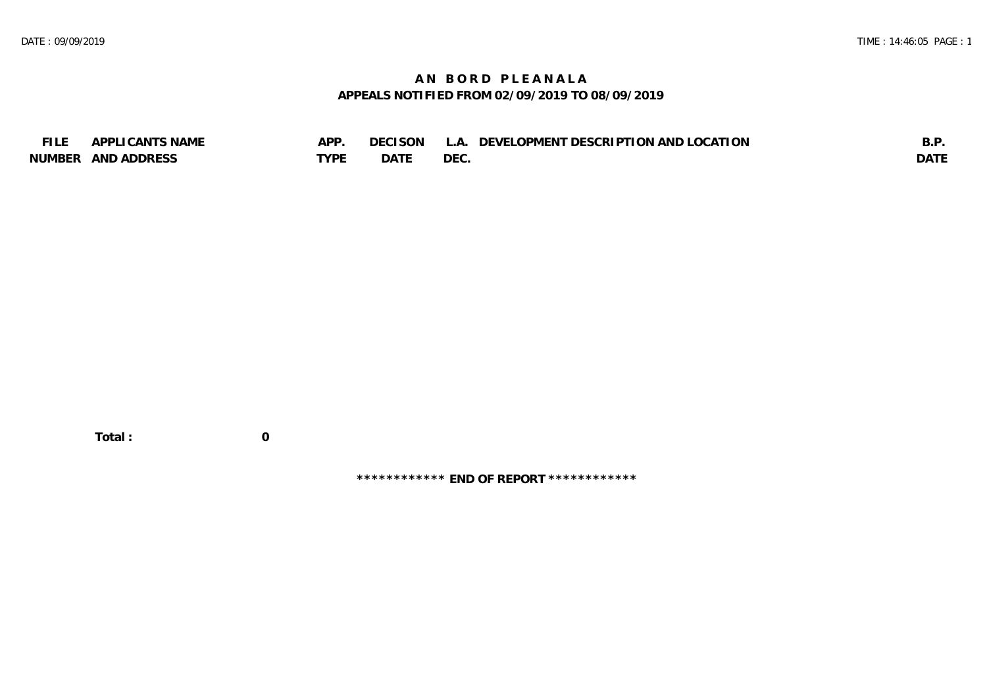## **A N B O R D P L E A N A L A APPEALS NOTIFIED FROM 02/09/2019 TO 08/09/2019**

| <b>FILE</b> | APPLICANTS NAME    | APP  | DECISON L   | L.A. DEVELOPMENT DESCRIPTION AND LOCATION | B.F         |
|-------------|--------------------|------|-------------|-------------------------------------------|-------------|
|             | NUMBER AND ADDRESS | TYPE | <b>DATE</b> | <b>DEC</b>                                | <b>DATE</b> |

 **Total : 0**

**\*\*\*\*\*\*\*\*\*\*\*\* END OF REPORT \*\*\*\*\*\*\*\*\*\*\*\***